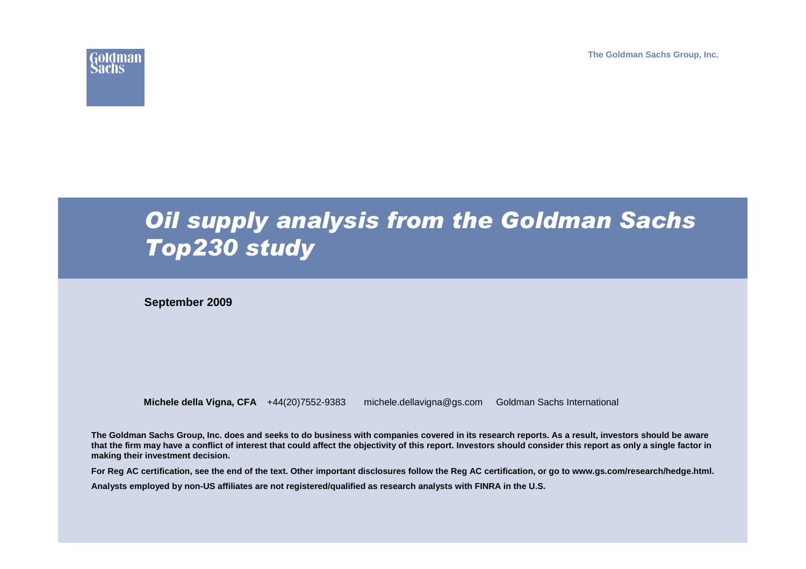**The Goldman Sachs Group, Inc.**



## *Oil supply analysis from the Goldman Sachs Top230 study*

**September 2009**

**Michele della Vigna, CFA** +44(20)7552-9383 michele.dellavigna@gs.com Goldman Sachs International

**The Goldman Sachs Group, Inc. does and seeks to do business with companies covered in its research reports. As a result, investors should be aware that the firm may have a conflict of interest that could affect the objectivity of this report. Investors should consider this report as only a single factor in making their investment decision.**

**For Reg AC certification, see the end of the text. Other important disclosures follow the Reg AC certification, or go to www.gs.com/research/hedge.html. Analysts employed by non-US affiliates are not registered/qualified as research analysts with FINRA in the U.S.**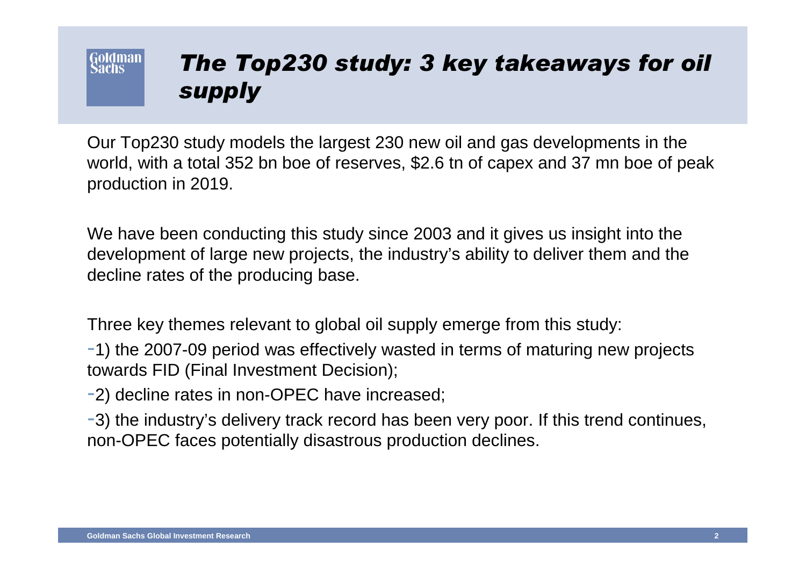### Goldman<br>Sachs *The Top230 study: 3 key takeaways for oil supply*

Our Top230 study models the largest 230 new oil and gas developments in the world, with a total 352 bn boe of reserves, \$2.6 tn of capex and 37 mn boe of peak production in 2019.

We have been conducting this study since 2003 and it gives us insight into the development of large new projects, the industry's ability to deliver them and the decline rates of the producing base.

Three key themes relevant to global oil supply emerge from this study:

-1) the 2007-09 period was effectively wasted in terms of maturing new projects towards FID (Final Investment Decision);

-2) decline rates in non-OPEC have increased;

-3) the industry's delivery track record has been very poor. If this trend continues, non-OPEC faces potentially disastrous production declines.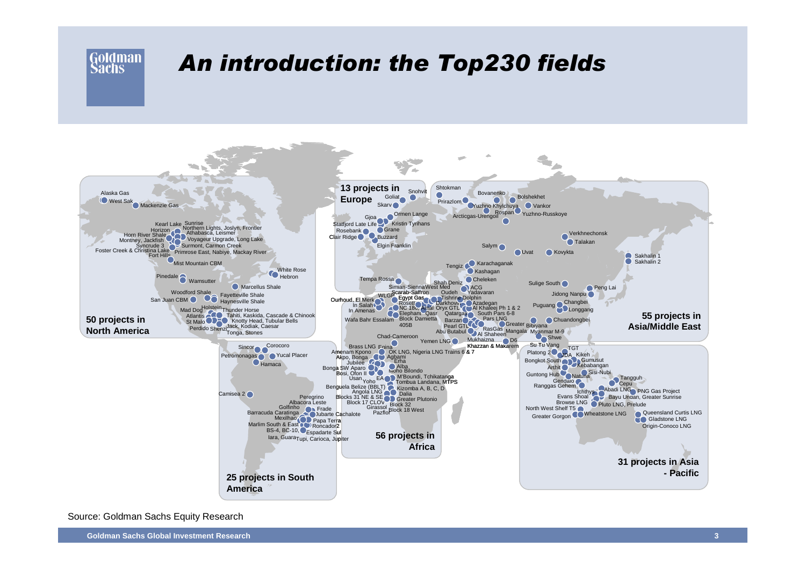

Source: Goldman Sachs Equity Research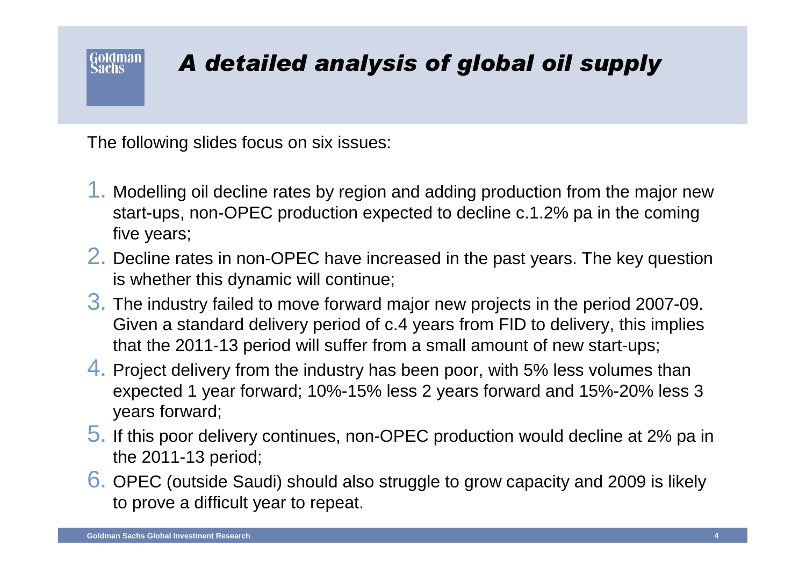# *A detailed analysis of global oil supply*

The following slides focus on six issues:

Goldman<br>Sachs

- 1. Modelling oil decline rates by region and adding production from the major new start-ups, non-OPEC production expected to decline c.1.2% pa in the coming five years;
- 2. Decline rates in non-OPEC have increased in the past years. The key question is whether this dynamic will continue;
- 3. The industry failed to move forward major new projects in the period 2007-09. Given a standard delivery period of c.4 years from FID to delivery, this implies that the 2011-13 period will suffer from a small amount of new start-ups;
- 4. Project delivery from the industry has been poor, with 5% less volumes than expected 1 year forward; 10%-15% less 2 years forward and 15%-20% less 3 years forward;
- 5. If this poor delivery continues, non-OPEC production would decline at 2% pa in the 2011-13 period;
- 6. OPEC (outside Saudi) should also struggle to grow capacity and 2009 is likely to prove a difficult year to repeat.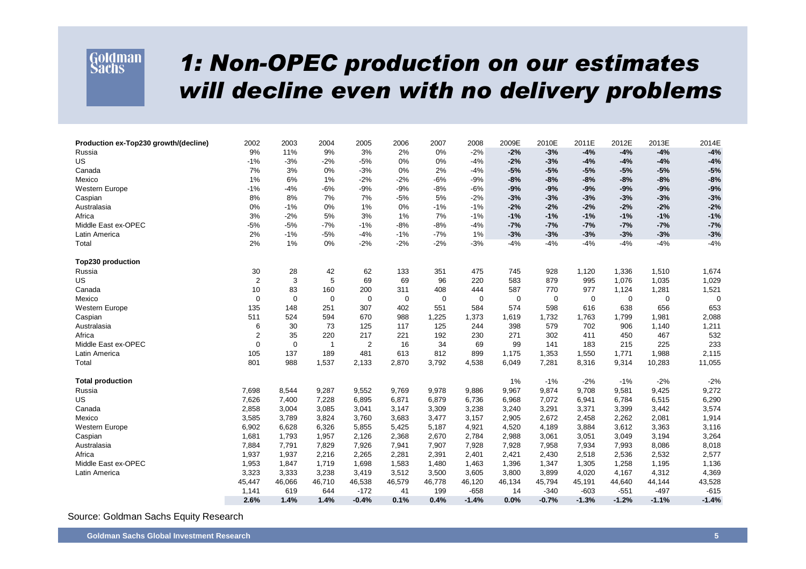$|\text{Goldman}|$ 

## *1: Non-OPEC production on our estimates will decline even with no delivery problems*

| Production ex-Top230 growth/(decline) | 2002           | 2003        | 2004           | 2005           | 2006   | 2007        | 2008    | 2009E       | 2010E   | 2011E   | 2012E   | 2013E   | 2014E       |
|---------------------------------------|----------------|-------------|----------------|----------------|--------|-------------|---------|-------------|---------|---------|---------|---------|-------------|
| Russia                                | 9%             | 11%         | 9%             | 3%             | 2%     | 0%          | $-2%$   | $-2%$       | $-3%$   | $-4%$   | $-4%$   | $-4%$   | $-4%$       |
| US                                    | $-1%$          | $-3%$       | $-2%$          | $-5%$          | 0%     | 0%          | $-4%$   | $-2%$       | $-3%$   | $-4%$   | $-4%$   | $-4%$   | $-4%$       |
| Canada                                | 7%             | 3%          | 0%             | $-3%$          | 0%     | 2%          | $-4%$   | $-5%$       | $-5%$   | $-5%$   | $-5%$   | $-5%$   | $-5%$       |
| Mexico                                | $1\%$          | 6%          | 1%             | $-2%$          | $-2%$  | $-6%$       | $-9%$   | $-8%$       | $-8%$   | $-8%$   | $-8%$   | $-8%$   | $-8%$       |
| Western Europe                        | $-1%$          | $-4%$       | $-6%$          | $-9%$          | $-9%$  | $-8%$       | $-6%$   | $-9%$       | $-9%$   | $-9%$   | $-9%$   | $-9%$   | $-9%$       |
| Caspian                               | 8%             | 8%          | 7%             | 7%             | $-5%$  | 5%          | $-2%$   | $-3%$       | $-3%$   | $-3%$   | $-3%$   | $-3%$   | $-3%$       |
| Australasia                           | 0%             | $-1%$       | 0%             | 1%             | 0%     | $-1%$       | $-1%$   | $-2%$       | $-2%$   | $-2%$   | $-2%$   | $-2%$   | $-2%$       |
| Africa                                | 3%             | $-2%$       | 5%             | 3%             | 1%     | 7%          | $-1%$   | $-1%$       | $-1%$   | $-1%$   | $-1%$   | $-1%$   | $-1%$       |
| Middle East ex-OPEC                   | $-5%$          | $-5%$       | $-7%$          | $-1%$          | $-8%$  | $-8%$       | $-4%$   | $-7%$       | $-7%$   | $-7%$   | $-7%$   | $-7%$   | $-7%$       |
| Latin America                         | 2%             | $-1%$       | $-5%$          | $-4%$          | $-1%$  | $-7%$       | 1%      | $-3%$       | $-3%$   | $-3%$   | $-3%$   | $-3%$   | $-3%$       |
| Total                                 | 2%             | 1%          | 0%             | $-2%$          | $-2%$  | $-2%$       | $-3%$   | $-4%$       | $-4%$   | $-4%$   | $-4%$   | $-4%$   | $-4%$       |
| Top230 production                     |                |             |                |                |        |             |         |             |         |         |         |         |             |
| Russia                                | 30             | 28          | 42             | 62             | 133    | 351         | 475     | 745         | 928     | 1,120   | 1,336   | 1,510   | 1,674       |
| US                                    | $\overline{2}$ | 3           | 5              | 69             | 69     | 96          | 220     | 583         | 879     | 995     | 1,076   | 1,035   | 1,029       |
| Canada                                | 10             | 83          | 160            | 200            | 311    | 408         | 444     | 587         | 770     | 977     | 1,124   | 1,281   | 1,521       |
| Mexico                                | 0              | $\mathbf 0$ | $\mathbf 0$    | $\mathbf 0$    | 0      | $\mathbf 0$ | 0       | $\mathbf 0$ | 0       | 0       | 0       | 0       | $\mathbf 0$ |
| Western Europe                        | 135            | 148         | 251            | 307            | 402    | 551         | 584     | 574         | 598     | 616     | 638     | 656     | 653         |
| Caspian                               | 511            | 524         | 594            | 670            | 988    | 1,225       | 1,373   | 1,619       | 1,732   | 1,763   | 1,799   | 1,981   | 2,088       |
| Australasia                           | 6              | 30          | 73             | 125            | 117    | 125         | 244     | 398         | 579     | 702     | 906     | 1,140   | 1,211       |
| Africa                                | 2              | 35          | 220            | 217            | 221    | 192         | 230     | 271         | 302     | 411     | 450     | 467     | 532         |
| Middle East ex-OPEC                   | $\mathbf 0$    | $\mathbf 0$ | $\overline{1}$ | $\overline{2}$ | 16     | 34          | 69      | 99          | 141     | 183     | 215     | 225     | 233         |
| Latin America                         | 105            | 137         | 189            | 481            | 613    | 812         | 899     | 1,175       | 1,353   | 1,550   | 1,771   | 1,988   | 2,115       |
| Total                                 | 801            | 988         | 1,537          | 2,133          | 2,870  | 3,792       | 4,538   | 6,049       | 7,281   | 8,316   | 9,314   | 10,283  | 11,055      |
| <b>Total production</b>               |                |             |                |                |        |             |         | $1\%$       | $-1%$   | $-2%$   | $-1%$   | $-2%$   | $-2%$       |
| Russia                                | 7,698          | 8,544       | 9,287          | 9,552          | 9,769  | 9,978       | 9,886   | 9,967       | 9,874   | 9,708   | 9,581   | 9,425   | 9,272       |
| US                                    | 7,626          | 7,400       | 7,228          | 6,895          | 6,871  | 6,879       | 6,736   | 6,968       | 7,072   | 6,941   | 6,784   | 6,515   | 6,290       |
| Canada                                | 2,858          | 3,004       | 3,085          | 3,041          | 3,147  | 3,309       | 3,238   | 3,240       | 3,291   | 3,371   | 3,399   | 3,442   | 3,574       |
| Mexico                                | 3,585          | 3,789       | 3,824          | 3,760          | 3,683  | 3,477       | 3,157   | 2,905       | 2,672   | 2,458   | 2,262   | 2,081   | 1,914       |
| Western Europe                        | 6,902          | 6,628       | 6,326          | 5,855          | 5,425  | 5,187       | 4,921   | 4,520       | 4,189   | 3,884   | 3,612   | 3,363   | 3,116       |
| Caspian                               | 1,681          | 1,793       | 1,957          | 2,126          | 2,368  | 2,670       | 2,784   | 2,988       | 3,061   | 3,051   | 3,049   | 3,194   | 3,264       |
| Australasia                           | 7,884          | 7,791       | 7,829          | 7,926          | 7,941  | 7,907       | 7,928   | 7,928       | 7,958   | 7,934   | 7,993   | 8,086   | 8,018       |
| Africa                                | 1,937          | 1,937       | 2,216          | 2,265          | 2,281  | 2,391       | 2,401   | 2,421       | 2,430   | 2,518   | 2,536   | 2,532   | 2,577       |
| Middle East ex-OPEC                   | 1,953          | 1,847       | 1,719          | 1,698          | 1,583  | 1,480       | 1,463   | 1,396       | 1,347   | 1,305   | 1,258   | 1,195   | 1,136       |
| Latin America                         | 3,323          | 3,333       | 3,238          | 3,419          | 3,512  | 3,500       | 3,605   | 3,800       | 3,899   | 4,020   | 4,167   | 4,312   | 4,369       |
|                                       | 45,447         | 46,066      | 46,710         | 46,538         | 46,579 | 46,778      | 46,120  | 46,134      | 45,794  | 45,191  | 44,640  | 44,144  | 43,528      |
|                                       | 1,141          | 619         | 644            | $-172$         | 41     | 199         | $-658$  | 14          | $-340$  | $-603$  | $-551$  | $-497$  | $-615$      |
|                                       | 2.6%           | 1.4%        | 1.4%           | $-0.4%$        | 0.1%   | 0.4%        | $-1.4%$ | 0.0%        | $-0.7%$ | $-1.3%$ | $-1.2%$ | $-1.1%$ | $-1.4%$     |

Source: Goldman Sachs Equity Research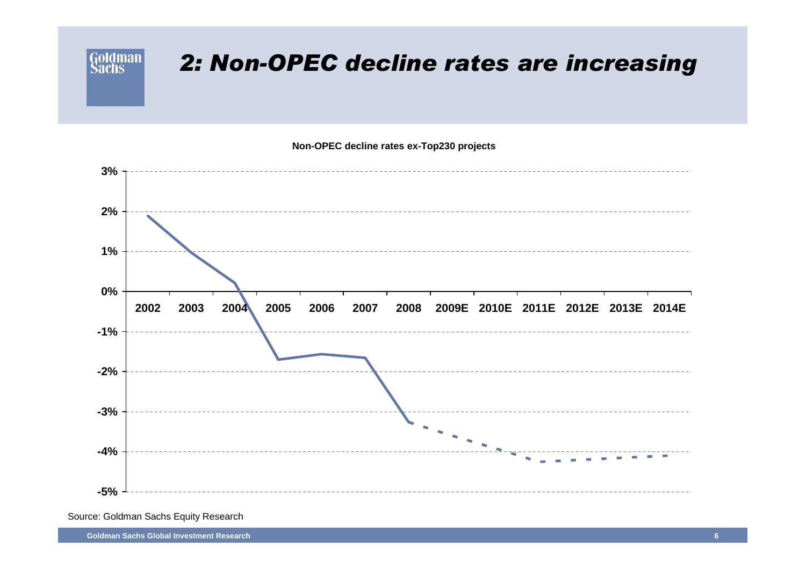



**Non-OPEC decline rates ex-Top230 projects**

Source: Goldman Sachs Equity Research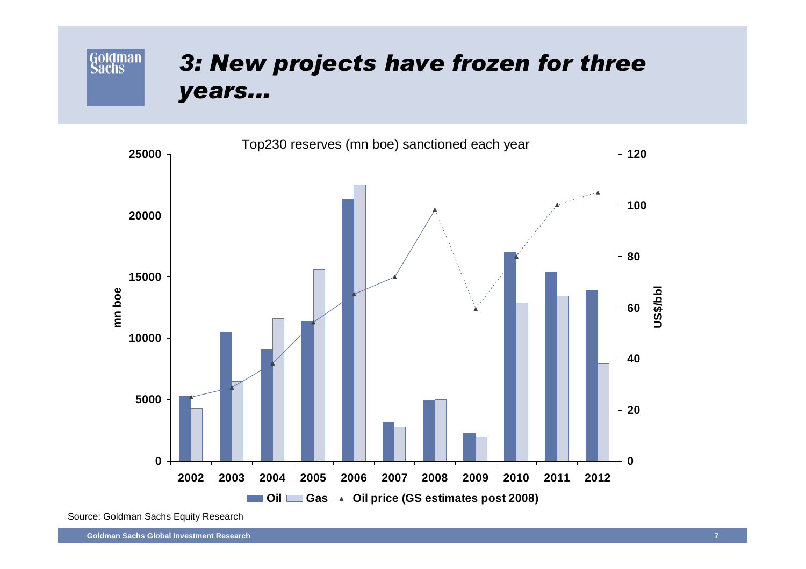# Goldman<br>Sachs

# *3: New projects have frozen for three years...*



Source: Goldman Sachs Equity Research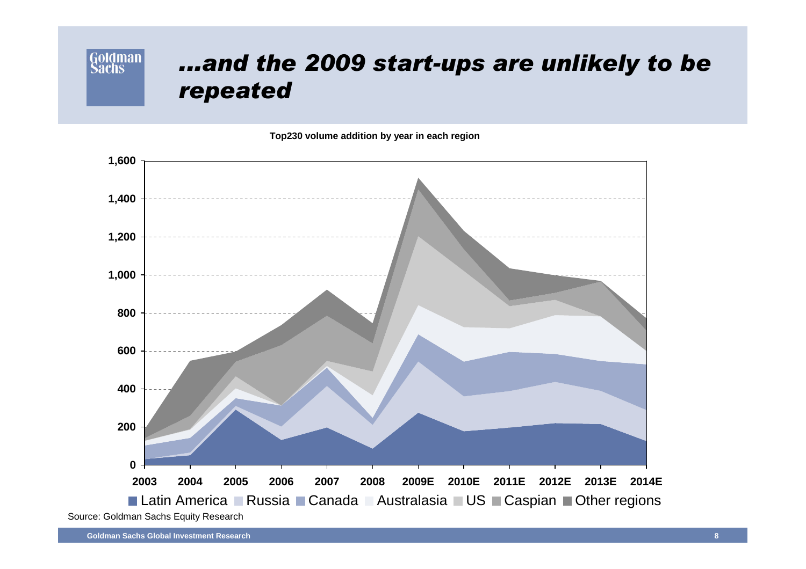

### *...and the 2009 start-ups are unlikely to be repeated*

**Top230 volume addition by year in each region**

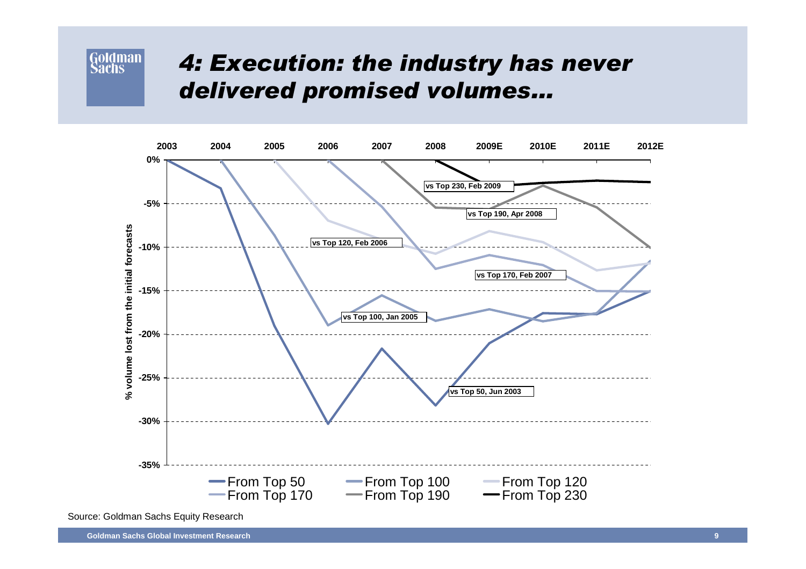

### *4: Execution: the industry has never delivered promised volumes...*



Source: Goldman Sachs Equity Research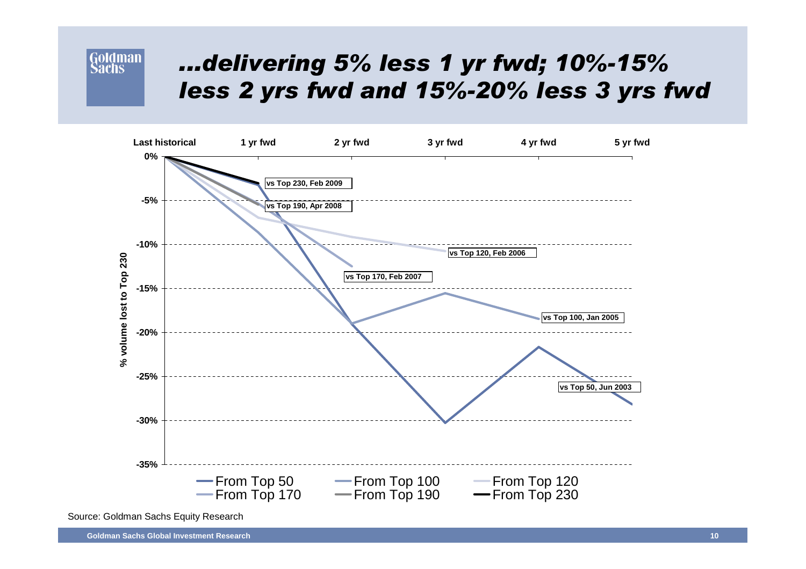

## *...delivering 5% less 1 yr fwd; 10%-15% less 2 yrs fwd and 15%-20% less 3 yrs fwd*



Source: Goldman Sachs Equity Research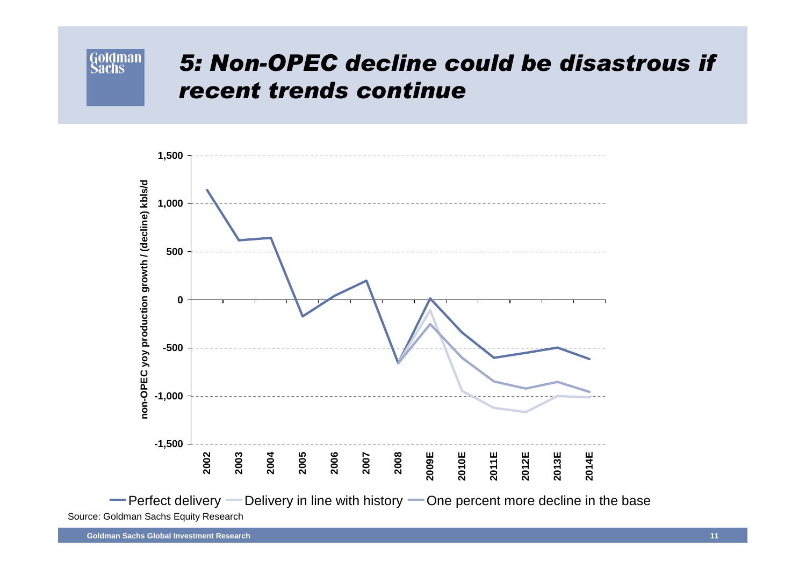

### *5: Non-OPEC decline could be disastrous if recent trends continue*



Source: Goldman Sachs Equity Research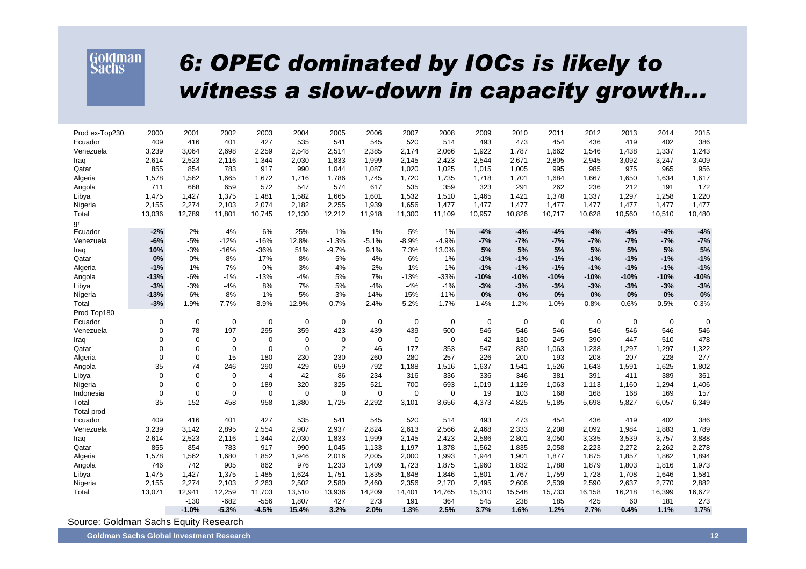### $|\text{Goldman}|$

### *6: OPEC dominated by IOCs is likely to witness a slow-down in capacity growth...*

| Prod ex-Top230    | 2000         | 2001         | 2002           | 2003           | 2004        |                | 2006        | 2007         | 2008        | 2009         | 2010         | 2011         | 2012           | 2013         | 2014         | 2015         |
|-------------------|--------------|--------------|----------------|----------------|-------------|----------------|-------------|--------------|-------------|--------------|--------------|--------------|----------------|--------------|--------------|--------------|
| Ecuador           | 409          | 416          | 401            | 427            | 535         | 2005<br>541    | 545         | 520          | 514         | 493          | 473          | 454          | 436            | 419          | 402          | 386          |
|                   | 3,239        | 3,064        | 2,698          | 2,259          | 2,548       | 2,514          | 2,385       | 2,174        | 2,066       | 1,922        | 1,787        | 1,662        |                | 1,438        | 1,337        | 1,243        |
| Venezuela         | 2,614        | 2,523        | 2,116          | 1,344          | 2,030       | 1,833          | 1,999       | 2,145        | 2,423       | 2,544        | 2,671        | 2,805        | 1,546<br>2,945 | 3,092        | 3,247        | 3,409        |
| Iraq              | 855          | 854          | 783            |                |             |                | 1,087       | 1,020        | 1,025       |              | 1,005        | 995          |                | 975          | 965          | 956          |
| Qatar             |              |              |                | 917            | 990         | 1,044          | 1,745       |              |             | 1,015        |              |              | 985            |              |              |              |
| Algeria           | 1,578<br>711 | 1,562<br>668 | 1,665<br>659   | 1,672          | 1,716       | 1,786          |             | 1,720<br>535 | 1,735       | 1,718<br>323 | 1,701<br>291 | 1,684<br>262 | 1,667          | 1,650<br>212 | 1,634<br>191 | 1,617<br>172 |
| Angola            |              |              |                | 572            | 547         | 574            | 617         |              | 359         |              |              |              | 236            |              |              |              |
| Libya             | 1,475        | 1,427        | 1,375          | 1,481          | 1,582       | 1,665          | 1,601       | 1,532        | 1,510       | 1,465        | 1,421        | 1,378        | 1,337          | 1,297        | 1,258        | 1,220        |
| Nigeria           | 2,155        | 2,274        | 2,103          | 2,074          | 2,182       | 2,255          | 1,939       | 1,656        | 1,477       | 1,477        | 1,477        | 1,477        | 1,477          | 1,477        | 1,477        | 1,477        |
| Total             | 13,036       | 12,789       | 11,801         | 10,745         | 12,130      | 12,212         | 11,918      | 11,300       | 11,109      | 10,957       | 10,826       | 10,717       | 10,628         | 10,560       | 10,510       | 10,480       |
| gr                |              |              |                |                |             |                |             |              |             |              |              |              |                |              |              |              |
| Ecuador           | $-2%$        | 2%           | $-4%$          | 6%             | 25%         | 1%             | 1%          | $-5%$        | $-1%$       | $-4%$        | $-4%$        | $-4%$        | $-4%$          | $-4%$        | $-4%$        | $-4%$        |
| Venezuela         | $-6%$        | $-5%$        | $-12%$         | $-16%$         | 12.8%       | $-1.3%$        | $-5.1%$     | $-8.9%$      | $-4.9%$     | $-7%$        | $-7%$        | $-7%$        | $-7%$          | $-7%$        | $-7%$        | $-7%$        |
| Iraq              | 10%          | $-3%$        | $-16%$         | $-36%$         | 51%         | $-9.7%$        | 9.1%        | 7.3%         | 13.0%       | 5%           | 5%           | 5%           | 5%             | 5%           | 5%           | 5%           |
| Qatar             | 0%           | 0%           | $-8%$          | 17%            | 8%          | 5%             | 4%          | $-6%$        | 1%          | $-1%$        | $-1%$        | $-1%$        | $-1%$          | $-1%$        | $-1%$        | $-1%$        |
| Algeria           | $-1%$        | $-1%$        | 7%             | 0%             | 3%          | 4%             | $-2%$       | $-1%$        | 1%          | $-1%$        | $-1%$        | $-1%$        | $-1%$          | $-1%$        | $-1%$        | $-1%$        |
| Angola            | $-13%$       | $-6%$        | $-1%$          | $-13%$         | $-4%$       | 5%             | 7%          | $-13%$       | $-33%$      | $-10%$       | $-10%$       | $-10%$       | $-10%$         | $-10%$       | $-10%$       | $-10%$       |
| Libya             | $-3%$        | $-3%$        | $-4%$          | 8%             | 7%          | 5%             | $-4%$       | $-4%$        | $-1%$       | $-3%$        | $-3%$        | $-3%$        | $-3%$          | $-3%$        | $-3%$        | $-3%$        |
| Nigeria           | $-13%$       | 6%           | $-8%$          | $-1%$          | 5%          | 3%             | $-14%$      | $-15%$       | $-11%$      | 0%           | 0%           | 0%           | 0%             | 0%           | 0%           | 0%           |
| Total             | $-3%$        | $-1.9%$      | $-7.7%$        | $-8.9%$        | 12.9%       | 0.7%           | $-2.4%$     | $-5.2%$      | $-1.7%$     | $-1.4%$      | $-1.2%$      | $-1.0%$      | $-0.8%$        | $-0.6%$      | $-0.5%$      | $-0.3%$      |
| Prod Top180       |              |              |                |                |             |                |             |              |             |              |              |              |                |              |              |              |
| Ecuador           | 0            | $\mathbf 0$  | 0              | $\mathbf 0$    | $\mathbf 0$ | $\mathbf 0$    | $\mathbf 0$ | $\mathbf 0$  | $\mathbf 0$ | $\mathbf 0$  | $\mathbf 0$  | $\mathbf 0$  | $\mathbf 0$    | $\mathbf 0$  | $\mathbf 0$  | $\mathbf 0$  |
| Venezuela         | 0            | 78           | 197            | 295            | 359         | 423            | 439         | 439          | 500         | 546          | 546          | 546          | 546            | 546          | 546          | 546          |
| Iraq              | 0            | $\mathbf 0$  | 0              | $\mathbf 0$    | $\mathbf 0$ | $\mathbf 0$    | $\mathbf 0$ | $\mathbf 0$  | $\mathbf 0$ | 42           | 130          | 245          | 390            | 447          | 510          | 478          |
| Qatar             | 0            | $\mathbf 0$  | 0              | $\mathbf 0$    | $\mathbf 0$ | $\overline{2}$ | 46          | 177          | 353         | 547          | 830          | 1,063        | 1,238          | 1,297        | 1,297        | 1,322        |
| Algeria           | 0            | $\mathbf 0$  | 15             | 180            | 230         | 230            | 260         | 280          | 257         | 226          | 200          | 193          | 208            | 207          | 228          | 277          |
| Angola            | 35           | 74           | 246            | 290            | 429         | 659            | 792         | 1,188        | 1,516       | 1,637        | 1,541        | 1,526        | 1,643          | 1,591        | 1,625        | 1,802        |
| Libya             | $\mathbf 0$  | $\mathbf 0$  | 0              | $\overline{4}$ | 42          | 86             | 234         | 316          | 336         | 336          | 346          | 381          | 391            | 411          | 389          | 361          |
| Nigeria           | 0            | $\mathbf 0$  | $\overline{0}$ | 189            | 320         | 325            | 521         | 700          | 693         | 1,019        | 1,129        | 1,063        | 1,113          | 1,160        | 1,294        | 1,406        |
| Indonesia         | $\mathbf 0$  | $\mathbf 0$  | $\mathbf 0$    | $\mathbf 0$    | $\mathbf 0$ | $\mathbf 0$    | $\mathbf 0$ | $\mathbf 0$  | $\mathbf 0$ | 19           | 103          | 168          | 168            | 168          | 169          | 157          |
| Total             | 35           | 152          | 458            | 958            | 1,380       | 1,725          | 2,292       | 3,101        | 3,656       | 4,373        | 4,825        | 5,185        | 5,698          | 5,827        | 6,057        | 6,349        |
| <b>Total prod</b> |              |              |                |                |             |                |             |              |             |              |              |              |                |              |              |              |
| Ecuador           | 409          | 416          | 401            | 427            | 535         | 541            | 545         | 520          | 514         | 493          | 473          | 454          | 436            | 419          | 402          | 386          |
| Venezuela         | 3,239        | 3,142        | 2,895          | 2,554          | 2,907       | 2,937          | 2,824       | 2,613        | 2,566       | 2,468        | 2,333        | 2,208        | 2,092          | 1,984        | 1,883        | 1,789        |
| Iraq              | 2,614        | 2,523        | 2,116          | 1,344          | 2,030       | 1,833          | 1,999       | 2,145        | 2,423       | 2,586        | 2,801        | 3,050        | 3,335          | 3,539        | 3,757        | 3,888        |
| Qatar             | 855          | 854          | 783            | 917            | 990         | 1,045          | 1,133       | 1,197        | 1,378       | 1,562        | 1,835        | 2,058        | 2,223          | 2,272        | 2,262        | 2,278        |
| Algeria           | 1,578        | 1,562        | 1,680          | 1,852          | 1,946       | 2,016          | 2,005       | 2,000        | 1,993       | 1,944        | 1,901        | 1,877        | 1,875          | 1,857        | 1,862        | 1,894        |
| Angola            | 746          | 742          | 905            | 862            | 976         | 1,233          | 1,409       | 1,723        | 1,875       | 1,960        | 1,832        | 1,788        | 1,879          | 1,803        | 1,816        | 1,973        |
| Libya             | 1,475        | 1,427        | 1,375          | 1,485          | 1,624       | 1,751          | 1,835       | 1,848        | 1,846       | 1,801        | 1,767        | 1,759        | 1,728          | 1,708        | 1,646        | 1,581        |
| Nigeria           | 2,155        | 2,274        | 2,103          | 2,263          | 2,502       | 2,580          | 2,460       | 2,356        | 2,170       | 2,495        | 2,606        | 2,539        | 2,590          | 2,637        | 2,770        | 2,882        |
| Total             | 13,071       | 12,941       | 12,259         | 11,703         | 13,510      | 13,936         | 14,209      | 14,401       | 14,765      | 15,310       | 15,548       | 15,733       | 16,158         | 16,218       | 16,399       | 16,672       |
|                   |              | $-130$       | $-682$         | $-556$         | 1,807       | 427            | 273         | 191          | 364         | 545          | 238          | 185          | 425            | 60           | 181          | 273          |
|                   |              | $-1.0%$      | $-5.3%$        | $-4.5%$        | 15.4%       | 3.2%           | 2.0%        | 1.3%         | 2.5%        | 3.7%         | 1.6%         | 1.2%         | 2.7%           | 0.4%         | 1.1%         | 1.7%         |

Source: Goldman Sachs Equity Research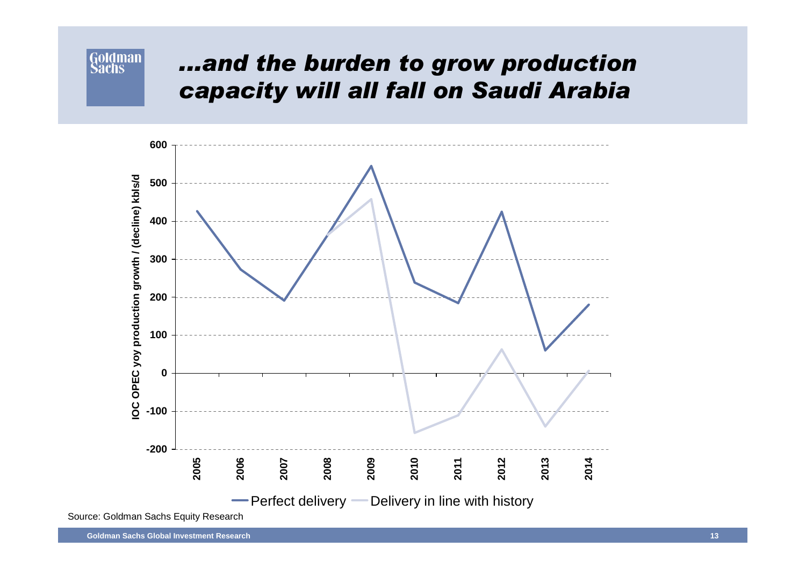

### *...and the burden to grow production capacity will all fall on Saudi Arabia*

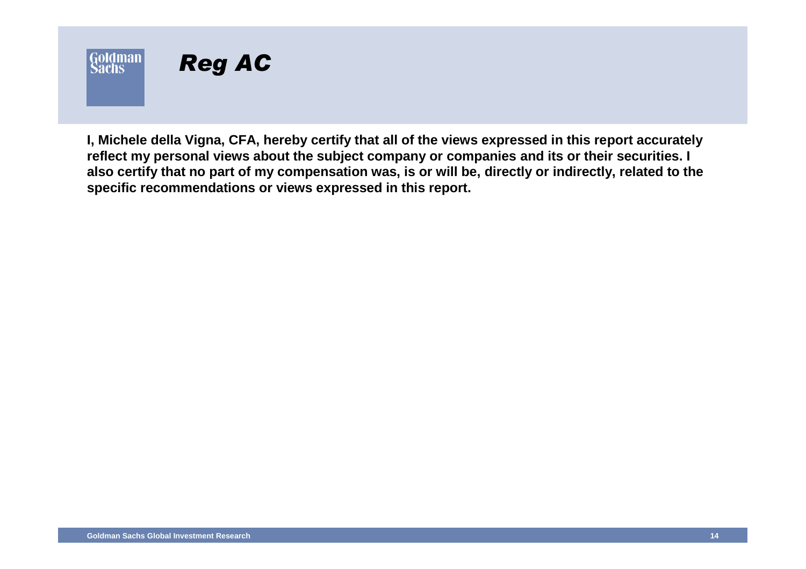

**I, Michele della Vigna, CFA, hereby certify that all of the views expressed in this report accurately reflect my personal views about the subject company or companies and its or their securities. I also certify that no part of my compensation was, is or will be, directly or indirectly, related to the specific recommendations or views expressed in this report.**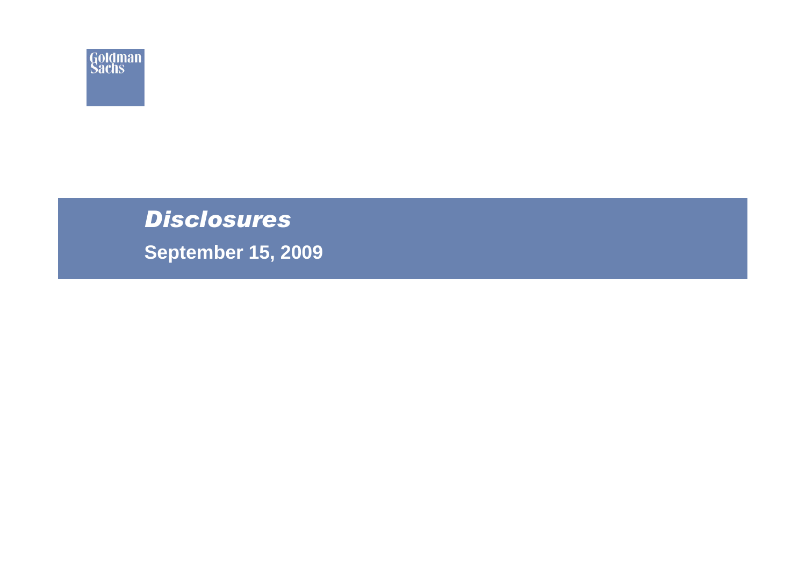

*Disclosures* **September 15, 2009**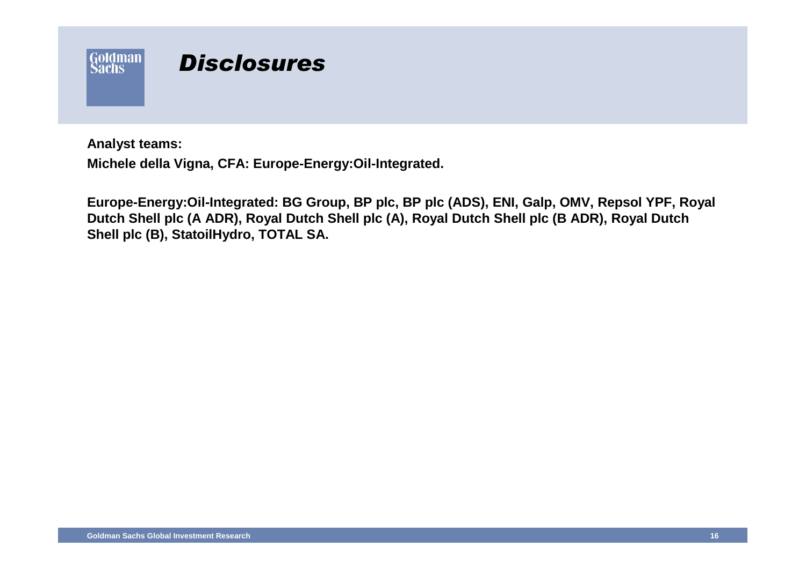

**Analyst teams:**

**Michele della Vigna, CFA: Europe-Energy:Oil-Integrated.**

**Europe-Energy:Oil-Integrated: BG Group, BP plc, BP plc (ADS), ENI, Galp, OMV, Repsol YPF, Royal Dutch Shell plc (A ADR), Royal Dutch Shell plc (A), Royal Dutch Shell plc (B ADR), Royal Dutch Shell plc (B), StatoilHydro, TOTAL SA.**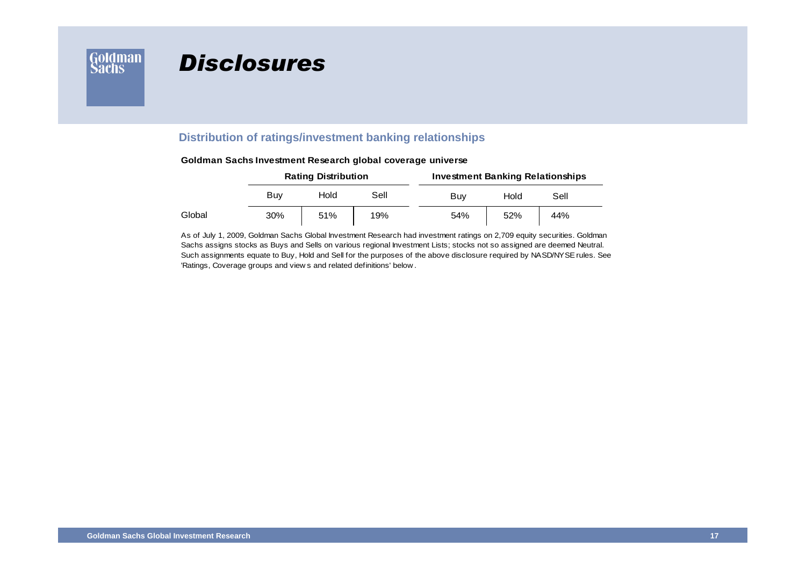#### **Distribution of ratings/investment banking relationships**

|        |     | <b>Rating Distribution</b> |      | <b>Investment Banking Relationships</b> |      |      |  |  |  |  |
|--------|-----|----------------------------|------|-----------------------------------------|------|------|--|--|--|--|
|        | Buv | Hold                       | Sell | Buy                                     | Hold | Sell |  |  |  |  |
| Global | 30% | 51%                        | 19%  | 54%                                     | 52%  | 44%  |  |  |  |  |

#### **Goldman Sachs Investment Research global coverage universe**

As of July 1, 2009, Goldman Sachs Global Investment Research had investment ratings on 2,709 equity securities. Goldman Sachs assigns stocks as Buys and Sells on various regional Investment Lists; stocks not so assigned are deemed Neutral. Such assignments equate to Buy, Hold and Sell for the purposes of the above disclosure required by NASD/NYSE rules. See 'Ratings, Coverage groups and view s and related definitions' below .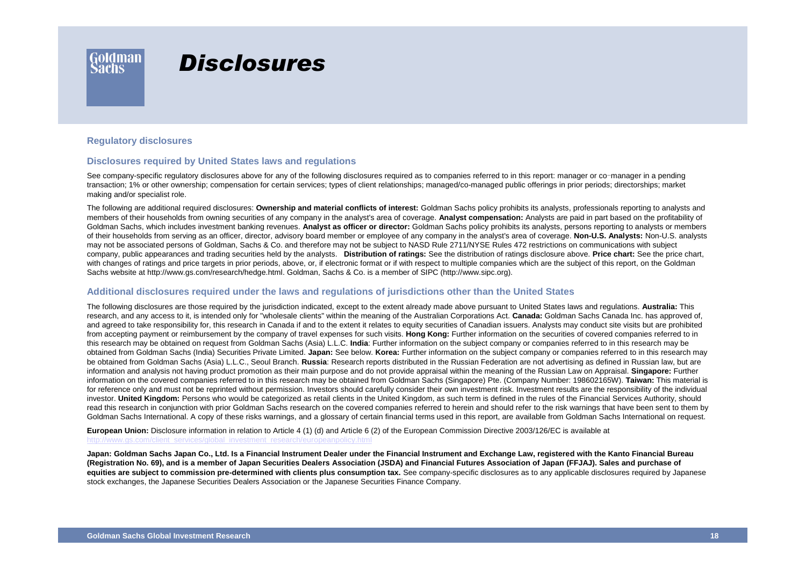#### **Regulatory disclosures**

Goldman<br>Sachs

#### **Disclosures required by United States laws and regulations**

See company-specific regulatory disclosures above for any of the following disclosures required as to companies referred to in this report: manager or co-manager in a pending transaction; 1% or other ownership; compensation for certain services; types of client relationships; managed/co-managed public offerings in prior periods; directorships; market making and/or specialist role.

The following are additional required disclosures: **Ownership and material conflicts of interest:** Goldman Sachs policy prohibits its analysts, professionals reporting to analysts and members of their households from owning securities of any company in the analyst's area of coverage. **Analyst compensation:** Analysts are paid in part based on the profitability of Goldman Sachs, which includes investment banking revenues. **Analyst as officer or director:** Goldman Sachs policy prohibits its analysts, persons reporting to analysts or members of their households from serving as an officer, director, advisory board member or employee of any company in the analyst's area of coverage. **Non-U.S. Analysts:** Non-U.S. analysts may not be associated persons of Goldman, Sachs & Co. and therefore may not be subject to NASD Rule 2711/NYSE Rules 472 restrictions on communications with subject company, public appearances and trading securities held by the analysts. **Distribution of ratings:** See the distribution of ratings disclosure above. **Price chart:** See the price chart, with changes of ratings and price targets in prior periods, above, or, if electronic format or if with respect to multiple companies which are the subject of this report, on the Goldman Sachs website at http://www.gs.com/research/hedge.html. Goldman, Sachs & Co. is a member of SIPC (http://www.sipc.org).

#### **Additional disclosures required under the laws and regulations of jurisdictions other than the United States**

The following disclosures are those required by the jurisdiction indicated, except to the extent already made above pursuant to United States laws and regulations. **Australia:** This research, and any access to it, is intended only for "wholesale clients" within the meaning of the Australian Corporations Act. **Canada:** Goldman Sachs Canada Inc. has approved of, and agreed to take responsibility for, this research in Canada if and to the extent it relates to equity securities of Canadian issuers. Analysts may conduct site visits but are prohibited from accepting payment or reimbursement by the company of travel expenses for such visits. **Hong Kong:** Further information on the securities of covered companies referred to in this research may be obtained on request from Goldman Sachs (Asia) L.L.C. **India**: Further information on the subject company or companies referred to in this research may be obtained from Goldman Sachs (India) Securities Private Limited. **Japan:** See below. **Korea:** Further information on the subject company or companies referred to in this research may be obtained from Goldman Sachs (Asia) L.L.C., Seoul Branch. **Russia**: Research reports distributed in the Russian Federation are not advertising as defined in Russian law, but are information and analysis not having product promotion as their main purpose and do not provide appraisal within the meaning of the Russian Law on Appraisal. **Singapore:** Further information on the covered companies referred to in this research may be obtained from Goldman Sachs (Singapore) Pte. (Company Number: 198602165W). **Taiwan:** This material is for reference only and must not be reprinted without permission. Investors should carefully consider their own investment risk. Investment results are the responsibility of the individual investor. United Kingdom: Persons who would be categorized as retail clients in the United Kingdom, as such term is defined in the rules of the Financial Services Authority, should read this research in conjunction with prior Goldman Sachs research on the covered companies referred to herein and should refer to the risk warnings that have been sent to them by Goldman Sachs International. A copy of these risks warnings, and a glossary of certain financial terms used in this report, are available from Goldman Sachs International on request.

**European Union:** Disclosure information in relation to Article 4 (1) (d) and Article 6 (2) of the European Commission Directive 2003/126/EC is available at http://www.gs.com/client\_services/global\_investment\_research/europeanpolicy.html

**Japan: Goldman Sachs Japan Co., Ltd. Is a Financial Instrument Dealer under the Financial Instrument and Exchange Law, registered with the Kanto Financial Bureau (Registration No. 69), and is a member of Japan Securities Dealers Association (JSDA) and Financial Futures Association of Japan (FFJAJ). Sales and purchase of equities are subject to commission pre-determined with clients plus consumption tax.** See company-specific disclosures as to any applicable disclosures required by Japanese stock exchanges, the Japanese Securities Dealers Association or the Japanese Securities Finance Company.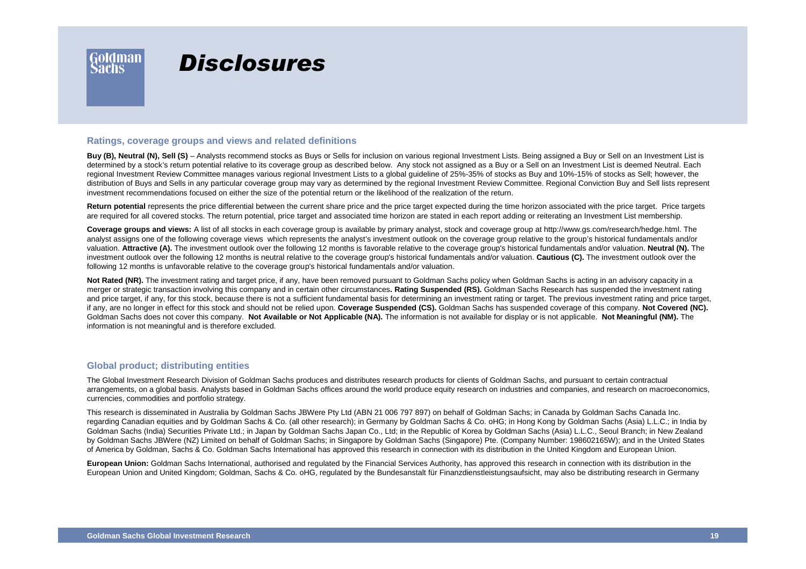#### **Ratings, coverage groups and views and related definitions**

**Buy (B), Neutral (N), Sell (S)** – Analysts recommend stocks as Buys or Sells for inclusion on various regional Investment Lists. Being assigned a Buy or Sell on an Investment List is determined by a stock's return potential relative to its coverage group as described below. Any stock not assigned as a Buy or a Sell on an Investment List is deemed Neutral. Each regional Investment Review Committee manages various regional Investment Lists to a global guideline of 25%-35% of stocks as Buy and 10%-15% of stocks as Sell; however, the distribution of Buys and Sells in any particular coverage group may vary as determined by the regional Investment Review Committee. Regional Conviction Buy and Sell lists represent investment recommendations focused on either the size of the potential return or the likelihood of the realization of the return.

Return potential represents the price differential between the current share price and the price target expected during the time horizon associated with the price target. Price targets are required for all covered stocks. The return potential, price target and associated time horizon are stated in each report adding or reiterating an Investment List membership.

**Coverage groups and views:** A list of all stocks in each coverage group is available by primary analyst, stock and coverage group at http://www.gs.com/research/hedge.html. The analyst assigns one of the following coverage views which represents the analyst's investment outlook on the coverage group relative to the group's historical fundamentals and/or valuation. **Attractive (A).** The investment outlook over the following 12 months is favorable relative to the coverage group's historical fundamentals and/or valuation. **Neutral (N).** The investment outlook over the following 12 months is neutral relative to the coverage group's historical fundamentals and/or valuation. **Cautious (C).** The investment outlook over the following 12 months is unfavorable relative to the coverage group's historical fundamentals and/or valuation.

Not Rated (NR). The investment rating and target price, if any, have been removed pursuant to Goldman Sachs policy when Goldman Sachs is acting in an advisory capacity in a merger or strategic transaction involving this company and in certain other circumstances**. Rating Suspended (RS).** Goldman Sachs Research has suspended the investment rating and price target, if any, for this stock, because there is not a sufficient fundamental basis for determining an investment rating or target. The previous investment rating and price target, if any, are no longer in effect for this stock and should not be relied upon. **Coverage Suspended (CS).** Goldman Sachs has suspended coverage of this company. **Not Covered (NC).** Goldman Sachs does not cover this company. **Not Available or Not Applicable (NA).** The information is not available for display or is not applicable. **Not Meaningful (NM).** The information is not meaningful and is therefore excluded.

#### **Global product; distributing entities**

Goldman<br>Sachs

The Global Investment Research Division of Goldman Sachs produces and distributes research products for clients of Goldman Sachs, and pursuant to certain contractual arrangements, on a global basis. Analysts based in Goldman Sachs offices around the world produce equity research on industries and companies, and research on macroeconomics, currencies, commodities and portfolio strategy.

This research is disseminated in Australia by Goldman Sachs JBWere Pty Ltd (ABN 21 006 797 897) on behalf of Goldman Sachs; in Canada by Goldman Sachs Canada Inc. regarding Canadian equities and by Goldman Sachs & Co. (all other research); in Germany by Goldman Sachs & Co. oHG; in Hong Kong by Goldman Sachs (Asia) L.L.C.; in India by Goldman Sachs (India) Securities Private Ltd.; in Japan by Goldman Sachs Japan Co., Ltd; in the Republic of Korea by Goldman Sachs (Asia) L.L.C., Seoul Branch; in New Zealand by Goldman Sachs JBWere (NZ) Limited on behalf of Goldman Sachs; in Singapore by Goldman Sachs (Singapore) Pte. (Company Number: 198602165W); and in the United States of America by Goldman, Sachs & Co. Goldman Sachs International has approved this research in connection with its distribution in the United Kingdom and European Union.

**European Union:** Goldman Sachs International, authorised and regulated by the Financial Services Authority, has approved this research in connection with its distribution in the European Union and United Kingdom; Goldman, Sachs & Co. oHG, regulated by the Bundesanstalt für Finanzdienstleistungsaufsicht, may also be distributing research in Germany